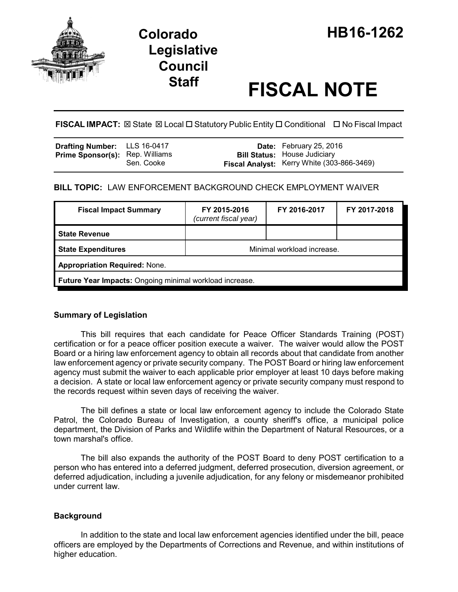

# **Staff FISCAL NOTE**

**FISCAL IMPACT:** ⊠ State ⊠ Local □ Statutory Public Entity □ Conditional □ No Fiscal Impact

| <b>Drafting Number:</b> LLS 16-0417    |            | <b>Date:</b> February 25, 2016                                                    |
|----------------------------------------|------------|-----------------------------------------------------------------------------------|
| <b>Prime Sponsor(s):</b> Rep. Williams | Sen. Cooke | <b>Bill Status: House Judiciary</b><br>Fiscal Analyst: Kerry White (303-866-3469) |

## **BILL TOPIC:** LAW ENFORCEMENT BACKGROUND CHECK EMPLOYMENT WAIVER

| <b>Fiscal Impact Summary</b>                            | FY 2015-2016<br>(current fiscal year) | FY 2016-2017 | FY 2017-2018 |  |  |
|---------------------------------------------------------|---------------------------------------|--------------|--------------|--|--|
| <b>State Revenue</b>                                    |                                       |              |              |  |  |
| <b>State Expenditures</b>                               | Minimal workload increase.            |              |              |  |  |
| <b>Appropriation Required: None.</b>                    |                                       |              |              |  |  |
| Future Year Impacts: Ongoing minimal workload increase. |                                       |              |              |  |  |

## **Summary of Legislation**

This bill requires that each candidate for Peace Officer Standards Training (POST) certification or for a peace officer position execute a waiver. The waiver would allow the POST Board or a hiring law enforcement agency to obtain all records about that candidate from another law enforcement agency or private security company. The POST Board or hiring law enforcement agency must submit the waiver to each applicable prior employer at least 10 days before making a decision. A state or local law enforcement agency or private security company must respond to the records request within seven days of receiving the waiver.

The bill defines a state or local law enforcement agency to include the Colorado State Patrol, the Colorado Bureau of Investigation, a county sheriff's office, a municipal police department, the Division of Parks and Wildlife within the Department of Natural Resources, or a town marshal's office.

The bill also expands the authority of the POST Board to deny POST certification to a person who has entered into a deferred judgment, deferred prosecution, diversion agreement, or deferred adjudication, including a juvenile adjudication, for any felony or misdemeanor prohibited under current law.

## **Background**

In addition to the state and local law enforcement agencies identified under the bill, peace officers are employed by the Departments of Corrections and Revenue, and within institutions of higher education.